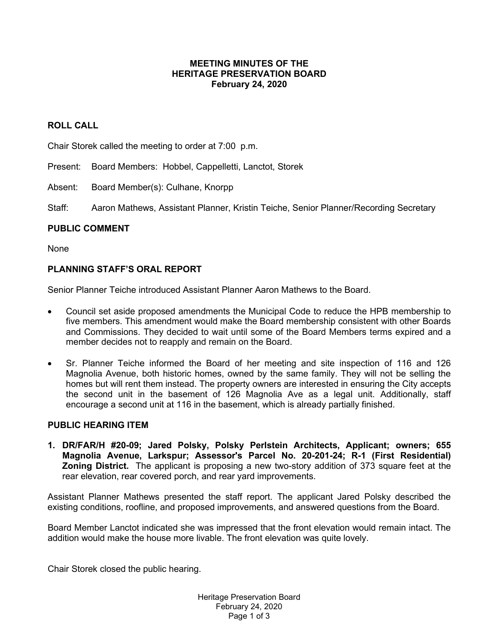### **MEETING MINUTES OF THE HERITAGE PRESERVATION BOARD February 24, 2020**

# **ROLL CALL**

Chair Storek called the meeting to order at 7:00 p.m.

Present: Board Members: Hobbel, Cappelletti, Lanctot, Storek

Absent: Board Member(s): Culhane, Knorpp

Staff: Aaron Mathews, Assistant Planner, Kristin Teiche, Senior Planner/Recording Secretary

#### **PUBLIC COMMENT**

None

### **PLANNING STAFF'S ORAL REPORT**

Senior Planner Teiche introduced Assistant Planner Aaron Mathews to the Board.

- Council set aside proposed amendments the Municipal Code to reduce the HPB membership to five members. This amendment would make the Board membership consistent with other Boards and Commissions. They decided to wait until some of the Board Members terms expired and a member decides not to reapply and remain on the Board.
- Sr. Planner Teiche informed the Board of her meeting and site inspection of 116 and 126 Magnolia Avenue, both historic homes, owned by the same family. They will not be selling the homes but will rent them instead. The property owners are interested in ensuring the City accepts the second unit in the basement of 126 Magnolia Ave as a legal unit. Additionally, staff encourage a second unit at 116 in the basement, which is already partially finished.

# **PUBLIC HEARING ITEM**

**1. DR/FAR/H #20-09; Jared Polsky, Polsky Perlstein Architects, Applicant; owners; 655 Magnolia Avenue, Larkspur; Assessor's Parcel No. 20-201-24; R-1 (First Residential) Zoning District.** The applicant is proposing a new two-story addition of 373 square feet at the rear elevation, rear covered porch, and rear yard improvements.

Assistant Planner Mathews presented the staff report. The applicant Jared Polsky described the existing conditions, roofline, and proposed improvements, and answered questions from the Board.

Board Member Lanctot indicated she was impressed that the front elevation would remain intact. The addition would make the house more livable. The front elevation was quite lovely.

Chair Storek closed the public hearing.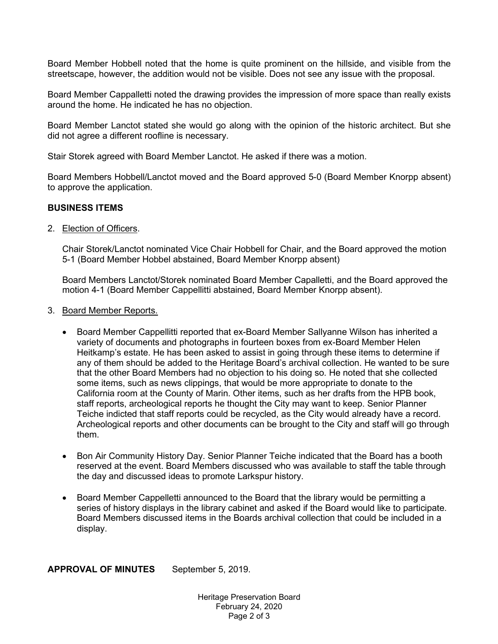Board Member Hobbell noted that the home is quite prominent on the hillside, and visible from the streetscape, however, the addition would not be visible. Does not see any issue with the proposal.

Board Member Cappalletti noted the drawing provides the impression of more space than really exists around the home. He indicated he has no objection.

Board Member Lanctot stated she would go along with the opinion of the historic architect. But she did not agree a different roofline is necessary.

Stair Storek agreed with Board Member Lanctot. He asked if there was a motion.

Board Members Hobbell/Lanctot moved and the Board approved 5-0 (Board Member Knorpp absent) to approve the application.

#### **BUSINESS ITEMS**

2. Election of Officers.

Chair Storek/Lanctot nominated Vice Chair Hobbell for Chair, and the Board approved the motion 5-1 (Board Member Hobbel abstained, Board Member Knorpp absent)

Board Members Lanctot/Storek nominated Board Member Capalletti, and the Board approved the motion 4-1 (Board Member Cappellitti abstained, Board Member Knorpp absent).

- 3. Board Member Reports.
	- Board Member Cappellitti reported that ex-Board Member Sallyanne Wilson has inherited a variety of documents and photographs in fourteen boxes from ex-Board Member Helen Heitkamp's estate. He has been asked to assist in going through these items to determine if any of them should be added to the Heritage Board's archival collection. He wanted to be sure that the other Board Members had no objection to his doing so. He noted that she collected some items, such as news clippings, that would be more appropriate to donate to the California room at the County of Marin. Other items, such as her drafts from the HPB book, staff reports, archeological reports he thought the City may want to keep. Senior Planner Teiche indicted that staff reports could be recycled, as the City would already have a record. Archeological reports and other documents can be brought to the City and staff will go through them.
	- Bon Air Community History Day. Senior Planner Teiche indicated that the Board has a booth reserved at the event. Board Members discussed who was available to staff the table through the day and discussed ideas to promote Larkspur history.
	- Board Member Cappelletti announced to the Board that the library would be permitting a series of history displays in the library cabinet and asked if the Board would like to participate. Board Members discussed items in the Boards archival collection that could be included in a display.

**APPROVAL OF MINUTES** September 5, 2019.